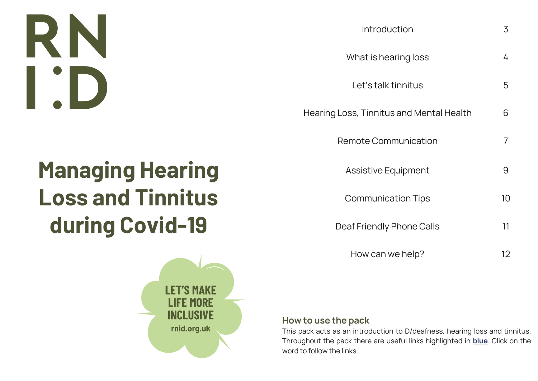# RN I'D

| Introduction                             | 3  |
|------------------------------------------|----|
| What is hearing loss                     | 4  |
| Let's talk tinnitus                      | 5  |
| Hearing Loss, Tinnitus and Mental Health | 6  |
| <b>Remote Communication</b>              | 7  |
| <b>Assistive Equipment</b>               | 9  |
| <b>Communication Tips</b>                | 10 |
| Deaf Friendly Phone Calls                | 11 |
| How can we help?                         | 12 |

## **Managing Hearing Loss and Tinnitus during Covid-19**



#### **How to use the pack**

This pack acts as an introduction to D/deafness, hearing loss and tinnitus. Throughout the pack there are useful links highlighted in **blue**. Click on the word to follow the links.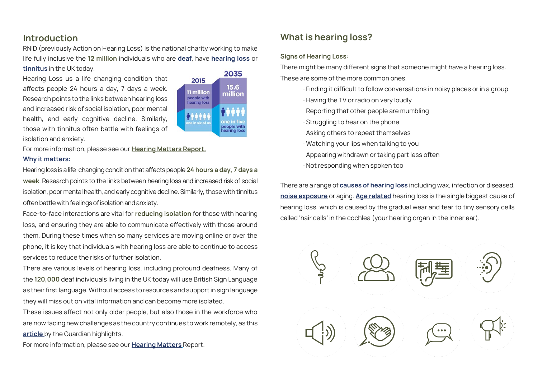#### **Introduction**

RNID (previously Action on Hearing Loss) is the national charity working to make life fully inclusive the **12 million** individuals who are **deaf**, have **[hearing](https://beta.actiononhearingloss.org.uk/information-and-support/hearing-loss/) loss** or **[tinnitus](https://beta.actiononhearingloss.org.uk/information-and-support/tinnitus/)** in the UK today.

Hearing Loss us a life changing condition that affects people 24 hours a day, 7 days a week. Research points to the links between hearing loss and increased risk of social isolation, poor mental health, and early cognitive decline. Similarly, those with tinnitus often battle with feelings of isolation and anxiety.



For more information, please see our **[Hearing Matters](https://www.actiononhearingloss.org.uk/about-us/our-research-and-evidence/research-reports/hearing-matters-report/) Report. Why it matters:**

Hearing loss is a life-changing condition that affects people **24 hours a day, 7 days a week**. Research points to the links between hearing loss and increased risk of social isolation, poor mental health, and early cognitive decline. Similarly, those with tinnitus often battle with feelings of isolation and anxiety.

Face-to-face interactions are vital for **reducing isolation** for those with hearing loss, and ensuring they are able to communicate effectively with those around them. During these times when so many services are moving online or over the phone, it is key that individuals with hearing loss are able to continue to access services to reduce the risks of further isolation.

There are various levels of hearing loss, including profound deafness. Many of the **120,000** deaf individuals living in the UK today will use British Sign Language as their first language. Without access to resources and support in sign language they will miss out on vital information and can become more isolated.

These issues affect not only older people, but also those in the workforce who are now facing new challenges as the country continues to work remotely, as this **[article](https://www.theguardian.com/society/2020/apr/22/how-home-working-leaves-deaf-people-out-loop-coronavirus)** by the Guardian highlights.

For more information, please see our **[Hearing Matters](https://www.actiononhearingloss.org.uk/about-us/our-research-and-evidence/research-reports/hearing-matters-report/)** Report.

### **What is hearing loss?**

#### **[Signs of Hearing Loss](https://beta.actiononhearingloss.org.uk/information-and-support/hearing-loss/signs-of-hearing-loss/)**:

There might be many different signs that someone might have a hearing loss. These are some of the more common ones.

- · Finding it difficult to follow conversations in noisy places or in a group
- · Having the TV or radio on very loudly
- · Reporting that other people are mumbling
- · Struggling to hear on the phone
- · Asking others to repeat themselves
- · Watching your lips when talking to you
- · Appearing withdrawn or taking part less often
- · Not responding when spoken too

There are a range of **[causes of hearing loss](https://beta.actiononhearingloss.org.uk/information-and-support/hearing-loss/types-of-hearing-loss-and-deafness/noise-induced-hearing-loss/)** including wax, infection or diseased, **[noise exposure](https://beta.actiononhearingloss.org.uk/information-and-support/hearing-loss/types-of-hearing-loss-and-deafness/noise-induced-hearing-loss/)** or aging. **[Age related](https://beta.actiononhearingloss.org.uk/information-and-support/hearing-loss/types-of-hearing-loss-and-deafness/age-related-hearing-loss/)** hearing loss is the single biggest cause of hearing loss, which is caused by the gradual wear and tear to tiny sensory cells called 'hair cells' in the cochlea (your hearing organ in the inner ear).

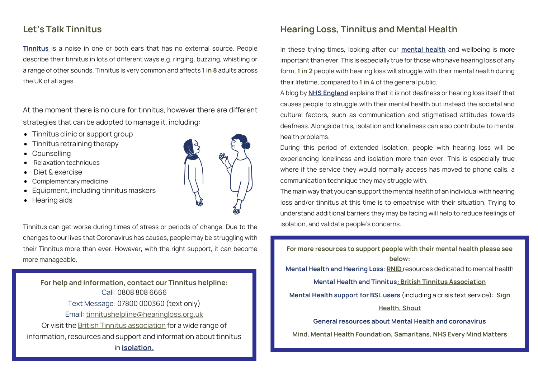#### **Let's Talk Tinnitus**

**[Tinnitus](https://beta.actiononhearingloss.org.uk/information-and-support/tinnitus/)** is a noise in one or both ears that has no external source. People describe their tinnitus in lots of different ways e.g. ringing, buzzing, whistling or a range of other sounds. Tinnitus is very common and affects **1 in 8** adults across the UK of all ages.

At the moment there is no cure for tinnitus, however there are different strategies that can be adopted to manage it, including:

- Tinnitus clinic or support group
- Tinnitus retraining therapy
- **Counselling**
- Relaxation techniques
- Diet & exercise
- Complementary medicine
- Equipment, including tinnitus maskers
- Hearing aids



Tinnitus can get worse during times of stress or periods of change. Due to the changes to our lives that Coronavirus has causes, people may be struggling with their Tinnitus more than ever. However, with the right support, it can become more manageable.

**For help and information, contact our Tinnitus helpline:** Call: 0808 808 6666 Text Message: 07800 000360 (text only) Email: [tinnitushelpline@hearingloss.org.uk](mailto:tinnitushelpline@hearingloss.org.uk) Or visit the [British Tinnitus association](https://www.tinnitus.org.uk/) for a wide range of information, resources and support and information about tinnitus in **[isolation.](https://www.tinnitus.org.uk/managing-tinnitus-in-social-isolation)**

#### **Hearing Loss, Tinnitus and Mental Health**

In these trying times, looking after our **[mental health](https://www.actiononhearingloss.org.uk/about-us/our-research-and-evidence/research-reports/mental-health-report/)** and wellbeing is more important than ever. This is especially true for those who have hearing loss of any form; **1 in 2** people with hearing loss will struggle with their mental health during their lifetime, compared to **1 in 4** of the general public.

A blog by **[NHS England](https://www.england.nhs.uk/blog/providing-effective-mental-health-services-for-deaf-and-hard-of-hearing-patients/)** explains that it is not deafness or hearing loss itself that causes people to struggle with their mental health but instead the societal and cultural factors, such as communication and stigmatised attitudes towards deafness. Alongside this, isolation and loneliness can also contribute to mental health problems.

During this period of extended isolation, people with hearing loss will be experiencing loneliness and isolation more than ever. This is especially true where if the service they would normally access has moved to phone calls, a communication technique they may struggle with.

The main way that you can support the mental health of an individual with hearing loss and/or tinnitus at this time is to empathise with their situation. Trying to understand additional barriers they may be facing will help to reduce feelings of isolation, and validate people's concerns.

**For more resources to support people with their mental health please see below: Mental Health and Hearing Loss**: **[RNID](https://beta.actiononhearingloss.org.uk/coronavirus-response/looking-after-your-mental-health-and-wellbeing-during-the-coronavirus-outbreak/)** resources dedicated to mental health **Mental Health and Tinnitus[: British Tinnitus Association](https://www.tinnitus.org.uk/) Mental Health support for BSL users** (including a crisis text service): **[Sign](https://signhealth.org.uk/)  [Health,](https://signhealth.org.uk/) [Shout](https://www.giveusashout.org/) General resources about Mental Health and coronavirus [Mind,](https://www.mind.org.uk/coronavirus-we-are-here-for-you/) [Mental Health Foundation,](https://mentalhealth.org.uk/coronavirus) [Samaritans,](https://www.samaritans.org/how-we-can-help/support-and-information/if-youre-having-difficult-time/if-youre-worried-about-your-mental-health-during-coronavirus-outbreak/) [NHS Every Mind Matters](https://www.nhs.uk/oneyou/every-mind-matters/)**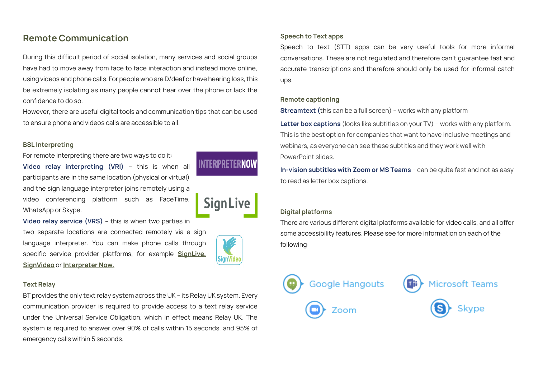#### **Remote Communication**

During this difficult period of social isolation, many services and social groups have had to move away from face to face interaction and instead move online, using videos and phone calls. For people who are D/deaf or have hearing loss, this be extremely isolating as many people cannot hear over the phone or lack the confidence to do so.

However, there are useful digital tools and communication tips that can be used to ensure phone and videos calls are accessible to all.

#### **BSL Interpreting**

For remote interpreting there are two ways to do it: **Video relay interpreting (VRI)** – this is when all participants are in the same location (physical or virtual) and the sign language interpreter joins remotely using a video conferencing platform such as FaceTime, WhatsApp or Skype.

**Video relay service (VRS)** – this is when two parties in two separate locations are connected remotely via a sign language interpreter. You can make phone calls through specific service provider platforms, for example **[SignLive,](https://signlive.co.uk/for-deaf-people/at-work/) [SignVideo](https://www.signvideo.co.uk/signvideo-at-work/)** or **[Interpreter Now.](https://interpreternow.co.uk/)**



**INTERPRETER** 

**Sign** 

#### **Text Relay**

BT provides the only text relay system across the UK – its Relay UK system. Every communication provider is required to provide access to a text relay service under the Universal Service Obligation, which in effect means Relay UK. The system is required to answer over 90% of calls within 15 seconds, and 95% of emergency calls within 5 seconds.

#### **Speech to Text apps**

Speech to text (STT) apps can be very useful tools for more informal conversations. These are not regulated and therefore can't guarantee fast and accurate transcriptions and therefore should only be used for informal catch ups.

#### **Remote captioning**

**[Streamtext](https://streamtext.net/) (**this can be a full screen) – works with any platform

**Letter box captions** (looks like subtitles on your TV) – works with any platform. This is the best option for companies that want to have inclusive meetings and webinars, as everyone can see these subtitles and they work well with PowerPoint slides.

**In-vision subtitles with Zoom or MS Teams** – can be quite fast and not as easy to read as letter box captions.

#### **Digital platforms**

There are various different digital platforms available for video calls, and all offer some accessibility features. Please see for more information on each of the following:

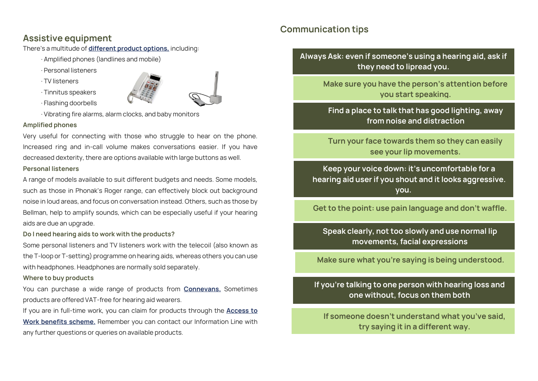#### **Assistive equipment**

There's a multitude of **[different product options,](https://actiononhearingloss.org.uk/information-and-support/technology-and-products/)** including:

· Amplified phones (landlines and mobile)

- · Personal listeners
- · TV listeners
- · Tinnitus speakers



· Flashing doorbells

· Vibrating fire alarms, alarm clocks, and baby monitors

#### **Amplified phones**

Very useful for connecting with those who struggle to hear on the phone. Increased ring and in-call volume makes conversations easier. If you have decreased dexterity, there are options available with large buttons as well. **Personal listeners**

A range of models available to suit different budgets and needs. Some models, such as those in Phonak's Roger range, can effectively block out background noise in loud areas, and focus on conversation instead. Others, such as those by Bellman, help to amplify sounds, which can be especially useful if your hearing aids are due an upgrade.

#### **Do I need hearing aids to work with the products?**

Some personal listeners and TV listeners work with the telecoil (also known as the T-loop or T-setting) programme on hearing aids, whereas others you can use with headphones. Headphones are normally sold separately.

#### **Where to buy products**

You can purchase a wide range of products from **[Connevans.](file://///ad.rnid.org/Personal/User%20Folders/ClareLe/Documents/www.HearingLossConnevans.co.uk)** Sometimes products are offered VAT-free for hearing aid wearers.

If you are in full-time work, you can claim for products through the **[Access to](https://actiononhearingloss.org.uk/information-and-support/benefits/)  [Work benefits scheme.](https://actiononhearingloss.org.uk/information-and-support/benefits/)** Remember you can contact our Information Line with any further questions or queries on available products.

#### **Communication tips**

**Always Ask: even if someone's using a hearing aid, ask if they need to lipread you.**

> **Make sure you have the person's attention before you start speaking.**

**Find a place to talk that has good lighting, away from noise and distraction**

**Turn your face towards them so they can easily see your lip movements.**

**Keep your voice down: it's uncomfortable for a hearing aid user if you shout and it looks aggressive. you.**

**Get to the point: use pain language and don't waffle.** 

**Speak clearly, not too slowly and use normal lip movements, facial expressions**

**Make sure what you're saying is being understood.** 

**If you're talking to one person with hearing loss and one without, focus on them both**

**If someone doesn't understand what you've said, try saying it in a different way.**